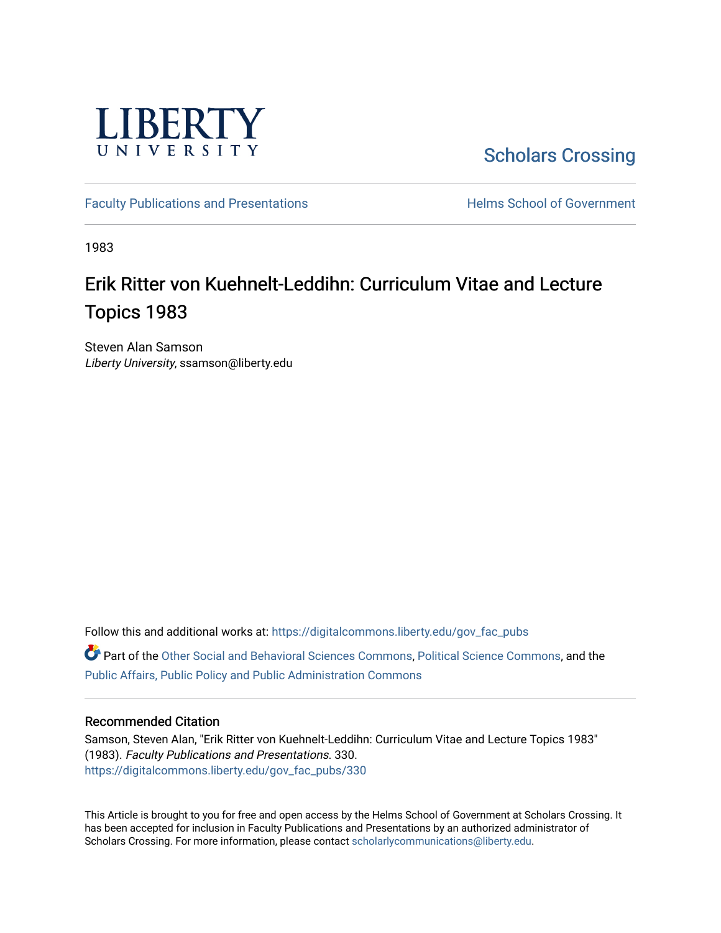

[Scholars Crossing](https://digitalcommons.liberty.edu/) 

[Faculty Publications and Presentations](https://digitalcommons.liberty.edu/gov_fac_pubs) **Exercise School of Government** 

1983

## Erik Ritter von Kuehnelt-Leddihn: Curriculum Vitae and Lecture Topics 1983

Steven Alan Samson Liberty University, ssamson@liberty.edu

Follow this and additional works at: [https://digitalcommons.liberty.edu/gov\\_fac\\_pubs](https://digitalcommons.liberty.edu/gov_fac_pubs?utm_source=digitalcommons.liberty.edu%2Fgov_fac_pubs%2F330&utm_medium=PDF&utm_campaign=PDFCoverPages) Part of the [Other Social and Behavioral Sciences Commons](http://network.bepress.com/hgg/discipline/437?utm_source=digitalcommons.liberty.edu%2Fgov_fac_pubs%2F330&utm_medium=PDF&utm_campaign=PDFCoverPages), [Political Science Commons](http://network.bepress.com/hgg/discipline/386?utm_source=digitalcommons.liberty.edu%2Fgov_fac_pubs%2F330&utm_medium=PDF&utm_campaign=PDFCoverPages), and the [Public Affairs, Public Policy and Public Administration Commons](http://network.bepress.com/hgg/discipline/393?utm_source=digitalcommons.liberty.edu%2Fgov_fac_pubs%2F330&utm_medium=PDF&utm_campaign=PDFCoverPages)

## Recommended Citation

Samson, Steven Alan, "Erik Ritter von Kuehnelt-Leddihn: Curriculum Vitae and Lecture Topics 1983" (1983). Faculty Publications and Presentations. 330. [https://digitalcommons.liberty.edu/gov\\_fac\\_pubs/330](https://digitalcommons.liberty.edu/gov_fac_pubs/330?utm_source=digitalcommons.liberty.edu%2Fgov_fac_pubs%2F330&utm_medium=PDF&utm_campaign=PDFCoverPages)

This Article is brought to you for free and open access by the Helms School of Government at Scholars Crossing. It has been accepted for inclusion in Faculty Publications and Presentations by an authorized administrator of Scholars Crossing. For more information, please contact [scholarlycommunications@liberty.edu.](mailto:scholarlycommunications@liberty.edu)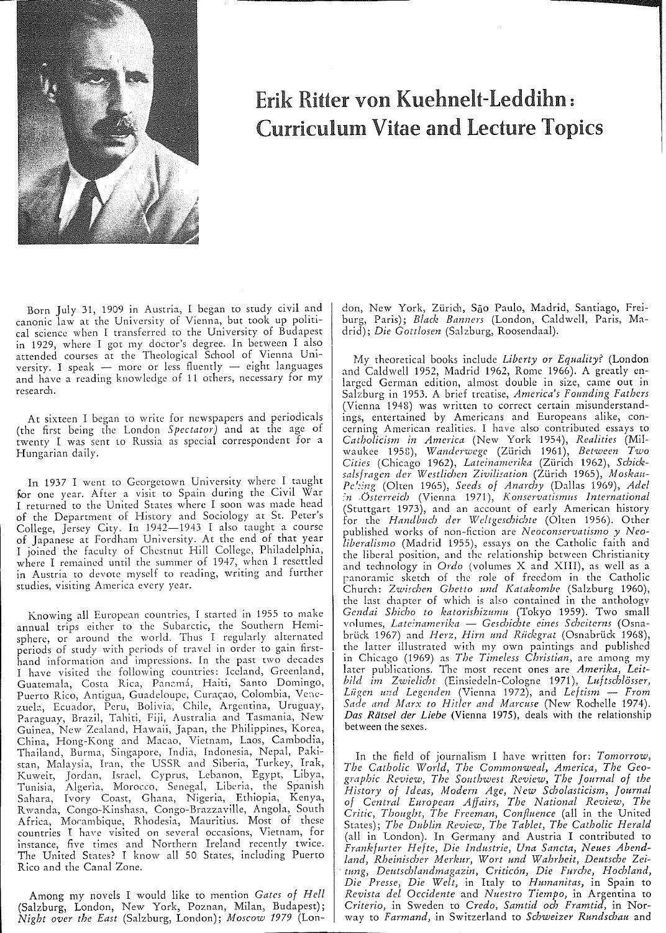

## Erik Ritter von Kuehnelt-Leddihn: Curriculum Vitae and Lecture Topics

Born July 31, 1909 in Austria, I began to study civil and canonic law at the University of Vienna, but took up political science when I transferred to the University of Budapest in 1929, where I gOt my doctor's degree. In between I also attended courses at the Theological School of Vienna University. I speak - more or less fluently  $-$  eight languages and have a reading knowledge of 11 ochers, necessary for my research.

At sixteen I began to write for newspapers and periodicals (the first being the London *Spectator)* and at the age of twenty I was sent to Russia as special correspondent for a Hungarian daily.

In 1937 I went to Georgetown University where I taught for one year. After a visit to Spain during the Civil War I returned to the United States where I soon was made head of the Department of History and Sociology at St. Peter's College, Jersey City. In 1942-1943 I also taught a course of Japanese at Fordham University. At the end of that year I joined the faculty of Chestnut Hill College, Philadelphia, where I remained until the summer of 1947, when I resettled in Austria to devote myself to reading, writing and further studies, visiting America every year.

Knowing all European countries, I started in 1955 to make annual trips either to the Subarctic, the Southern Hemisphere, or around the world. Thus I regularly alternated periods of study with periods of travel in order to gain firsthand information and impressions. In the past two decades I have visited the following countries: Iceland, Greenland, Guatemala, Costa Rica, Panamá, Haiti, Santo Domingo, Puerto Rico, Antigua, Guadeloupe, Curaçao, Colombia, Venezuela, Ecuador, Peru, Bolivia, Chile, Argentina, Uruguay, Paraguay, Brazil, Tahiti, Fiji, Australia and Tasmania, New Guinea, New Zealand, Hawaii, Japan, the Philippines, Korea, China, Hong-Kong and Macao, Vietnam, Laos, Cambodia, Thailand, Burma, Singapore, India, Indonesia, Nepal, Pakistan, Malaysia, Iran, the USSR and Siberia, Turkey, Irak, Kuweit, Jordan, Israel, Cyprus, Lebanon, Egypt, Libya, Tunisia, Algeria, Morocco, Senegal, Liberia, the Spanish Sahara, Ivory Coast, Ghana, Nigeria, Ethiopia, Kenya, Rwanda, Congo-Kinshasa, Congo-Brazzaville, Angola, South Africa, Morambique, Rhodesia, Mauritius. Most of these countries I have visited on several occasions, Vietnam, for instance, five times and Northern Ireland recently twice. The United States? I know all 50 States, including Puerto Rico and the Canal Zone.

Among my novels I would like to mention *Gates of Hell*  (Salzburg, London, New York, Poznan, Milan, Budapest); *Night over the East* (Salzburg, London); *Moscow* 1979 (Lon-

don, New York, Zürich, São Paulo, Madrid, Santiago, Freiburg, Paris); *Black Banners* (London, Caldwell, Paris, Madrid); *Die Gottlosen* (Salzburg, Roosendaal).

My theoretical books include *Liberty or Equality?* (London and Caldwell 1952, Madrid 1962, Rome 1966). A greatly enlarged German edition, almost double in size, came out in Salzburg in 1953. A brief treatise, *America's Founding Fathers*  (Vienna 1948) was written to correct certain misunderstandings, entertained by Americans and Europeans alike, concerning American realities. I have also contributed essays to *Catholicism in America* (New York 1954), *Realities* (Milw:tukee 1958), *Wanderwege* (Zurich 1961), *Between Two*  Cities (Chicago 1962), *Lateinamerika* (Zürich 1962), Schicksalsfragen der Westlichen Zivilisation (Zürich 1965), Moskau-*Pelzing* (Olten 1965), *Seeds of Anarchy* (Dallas 1969), *Adel :'n .Osterreich* (Vienn:t 1971), *Konservatismus International*  (Stuttgart 1973), and an account of early American history for the *Handbltch der Wcltgeschichte* (Olren 1956). Other published works of non-fiction are *Neoconservatismo y Neo*liberalismo (Madrid 1955), essays on the Catholic faith and the liberal position, and the relationship between Christianity and technology in *Ordo* (volumes X and XIII), as well as a panoramic sketch of the role of freedom in the Catholic Church: Zwischen Ghetto und Katakombe (Salzburg 1960), the last chapter of which is also contained in the anthology *Gendai Shicbo to leatorishizumu* (Tokyo 1959). Two small v(llumes, *Lateinamerika* - *Geschichte eines Scheiterns* (Osnabrück 1967) and *Herz, Hirn und Rückgrat* (Osnabrück 1968), the latter illustrated with my own paintings and published in Chicago (1969) as *The Timeless Cbristian,* arc among my later publications. The most recent ones are Amerika, Leit*bild im Zwielicht* (Einsiedeln-Cologne 1971), *Luftschlosser, Liigen u"d Legcnden* (Vienn:t 1972), and *Leftism* - *From*  Sade and Marx to Hitler and Marcuse (New Rochelle 1974). *Das Ralsel der Liebe* (Vienna 1975), deals with the relationship between the sexes.

In the field of journalism I have written for: *Tomorrow*, *The Catholic World, Tbe Commonweal, America, The Geograpbic Review, The SOllthwest Review, The Journal of the History of Ideas, Modern Age, New Scholasticism, Journal*  of Central European Affairs, The National Review, The *Critic, Thought, The Freeman, Confluence* (all in the United States); *The Dublin Review, The Tablet, The Catholic Herald*  (all in London). In Germany and Austria I contributed to *Frankfurter Hefte, Die Industrie, Una Sancta, Neues Abend*land, Rheinischer Merkur, Wort und Wahrheit, Deutsche Zei*tung, Dctttschiandmagazin, Criticon, Die Furche, Hochland, Die Presse, Die Welt,* in Italy to *Humanitas,* in Spain to *Revista del Occidente* and *Nuestro Tiempo,* in Argentina to *Criterio,* in Sweden to *Credo, Samtid och Framtid,* in Norway to *Farmand,* in Switzerland to *Schweizer Rundschau* and